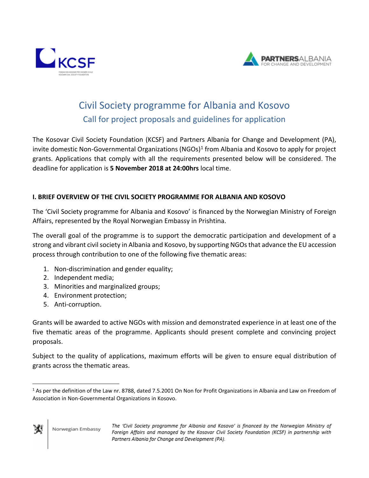



# Civil Society programme for Albania and Kosovo Call for project proposals and guidelines for application

The Kosovar Civil Society Foundation (KCSF) and Partners Albania for Change and Development (PA), invite domestic Non-Governmental Organizations (NGOs)<sup>1</sup> from Albania and Kosovo to apply for project grants. Applications that comply with all the requirements presented below will be considered. The deadline for application is **5 November 2018 at 24:00hrs** local time.

# **I. BRIEF OVERVIEW OF THE CIVIL SOCIETY PROGRAMME FOR ALBANIA AND KOSOVO**

The 'Civil Society programme for Albania and Kosovo' is financed by the Norwegian Ministry of Foreign Affairs, represented by the Royal Norwegian Embassy in Prishtina.

The overall goal of the programme is to support the democratic participation and development of a strong and vibrant civil society in Albania and Kosovo, by supporting NGOs that advance the EU accession process through contribution to one of the following five thematic areas:

- 1. Non-discrimination and gender equality;
- 2. Independent media;
- 3. Minorities and marginalized groups;
- 4. Environment protection;
- 5. Anti-corruption.

Grants will be awarded to active NGOs with mission and demonstrated experience in at least one of the five thematic areas of the programme. Applicants should present complete and convincing project proposals.

Subject to the quality of applications, maximum efforts will be given to ensure equal distribution of grants across the thematic areas.

 $\overline{\phantom{a}}$ 

<sup>&</sup>lt;sup>1</sup> As per the definition of the Law nr. 8788, dated 7.5.2001 On Non for Profit Organizations in Albania and Law on Freedom of Association in Non-Governmental Organizations in Kosovo.

The 'Civil Society programme for Albania and Kosovo' is financed by the Norwegian Ministry of Foreign Affairs and managed by the Kosovar Civil Society Foundation (KCSF) in partnership with Partners Albania for Change and Development (PA).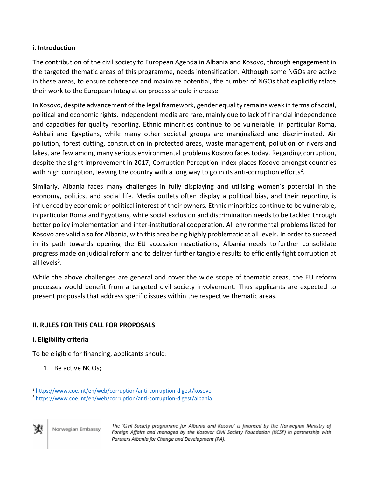# **i. Introduction**

The contribution of the civil society to European Agenda in Albania and Kosovo, through engagement in the targeted thematic areas of this programme, needs intensification. Although some NGOs are active in these areas, to ensure coherence and maximize potential, the number of NGOs that explicitly relate their work to the European Integration process should increase.

In Kosovo, despite advancement of the legal framework, gender equality remains weak in terms of social, political and economic rights. Independent media are rare, mainly due to lack of financial independence and capacities for quality reporting. Ethnic minorities continue to be vulnerable, in particular Roma, Ashkali and Egyptians, while many other societal groups are marginalized and discriminated. Air pollution, forest cutting, construction in protected areas, waste management, pollution of rivers and lakes, are few among many serious environmental problems Kosovo faces today. Regarding corruption, despite the slight improvement in 2017, Corruption Perception Index places Kosovo amongst countries with high corruption, leaving the country with a long way to go in its anti-corruption efforts<sup>2</sup>.

Similarly, Albania faces many challenges in fully displaying and utilising women's potential in the economy, politics, and social life. Media outlets often display a political bias, and their reporting is influenced by economic or political interest of their owners. Ethnic minorities continue to be vulnerable, in particular Roma and Egyptians, while social exclusion and discrimination needs to be tackled through better policy implementation and inter-institutional cooperation. All environmental problems listed for Kosovo are valid also for Albania, with this area being highly problematic at all levels. In order to succeed in its path towards opening the EU accession negotiations, Albania needs to [further consolidate](http://eeas.europa.eu/headquarters/headquarters-homepage/47495/council-conclusions-enlargement-and-stabilisation-and-association-process-adopted-council-26_en)  [progress](http://eeas.europa.eu/headquarters/headquarters-homepage/47495/council-conclusions-enlargement-and-stabilisation-and-association-process-adopted-council-26_en) made on judicial reform and to deliver further tangible results to efficiently fight corruption at all levels<sup>3</sup>.

While the above challenges are general and cover the wide scope of thematic areas, the EU reform processes would benefit from a targeted civil society involvement. Thus applicants are expected to present proposals that address specific issues within the respective thematic areas.

# **II. RULES FOR THIS CALL FOR PROPOSALS**

# **i. Eligibility criteria**

To be eligible for financing, applicants should:

1. Be active NGOs;

<sup>3</sup> <https://www.coe.int/en/web/corruption/anti-corruption-digest/albania>



 $\overline{\phantom{a}}$ 

<sup>2</sup> <https://www.coe.int/en/web/corruption/anti-corruption-digest/kosovo>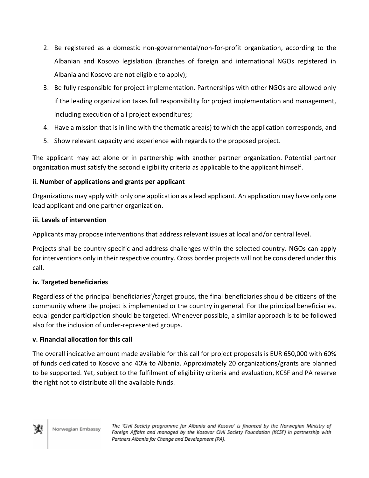- 2. Be registered as a domestic non-governmental/non-for-profit organization, according to the Albanian and Kosovo legislation (branches of foreign and international NGOs registered in Albania and Kosovo are not eligible to apply);
- 3. Be fully responsible for project implementation. Partnerships with other NGOs are allowed only if the leading organization takes full responsibility for project implementation and management, including execution of all project expenditures;
- 4. Have a mission that is in line with the thematic area(s) to which the application corresponds, and
- 5. Show relevant capacity and experience with regards to the proposed project.

The applicant may act alone or in partnership with another partner organization. Potential partner organization must satisfy the second eligibility criteria as applicable to the applicant himself.

# **ii. Number of applications and grants per applicant**

Organizations may apply with only one application as a lead applicant. An application may have only one lead applicant and one partner organization.

# **iii. Levels of intervention**

Applicants may propose interventions that address relevant issues at local and/or central level.

Projects shall be country specific and address challenges within the selected country. NGOs can apply for interventions only in their respective country. Cross border projects will not be considered under this call.

# **iv. Targeted beneficiaries**

Regardless of the principal beneficiaries'/target groups, the final beneficiaries should be citizens of the community where the project is implemented or the country in general. For the principal beneficiaries, equal gender participation should be targeted. Whenever possible, a similar approach is to be followed also for the inclusion of under-represented groups.

# **v. Financial allocation for this call**

The overall indicative amount made available for this call for project proposals is EUR 650,000 with 60% of funds dedicated to Kosovo and 40% to Albania. Approximately 20 organizations/grants are planned to be supported. Yet, subject to the fulfilment of eligibility criteria and evaluation, KCSF and PA reserve the right not to distribute all the available funds.

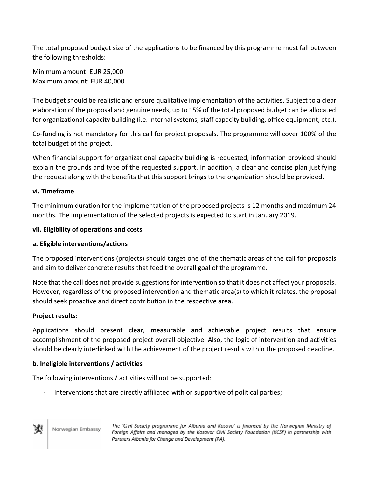The total proposed budget size of the applications to be financed by this programme must fall between the following thresholds:

Minimum amount: EUR 25,000 Maximum amount: EUR 40,000

The budget should be realistic and ensure qualitative implementation of the activities. Subject to a clear elaboration of the proposal and genuine needs, up to 15% of the total proposed budget can be allocated for organizational capacity building (i.e. internal systems, staff capacity building, office equipment, etc.).

Co-funding is not mandatory for this call for project proposals. The programme will cover 100% of the total budget of the project.

When financial support for organizational capacity building is requested, information provided should explain the grounds and type of the requested support. In addition, a clear and concise plan justifying the request along with the benefits that this support brings to the organization should be provided.

# **vi. Timeframe**

The minimum duration for the implementation of the proposed projects is 12 months and maximum 24 months. The implementation of the selected projects is expected to start in January 2019.

# **vii. Eligibility of operations and costs**

# **a. Eligible interventions/actions**

The proposed interventions (projects) should target one of the thematic areas of the call for proposals and aim to deliver concrete results that feed the overall goal of the programme.

Note that the call does not provide suggestions for intervention so that it does not affect your proposals. However, regardless of the proposed intervention and thematic area(s) to which it relates, the proposal should seek proactive and direct contribution in the respective area.

# **Project results:**

Applications should present clear, measurable and achievable project results that ensure accomplishment of the proposed project overall objective. Also, the logic of intervention and activities should be clearly interlinked with the achievement of the project results within the proposed deadline.

# **b. Ineligible interventions / activities**

The following interventions / activities will not be supported:

Interventions that are directly affiliated with or supportive of political parties;



Norwegian Embassy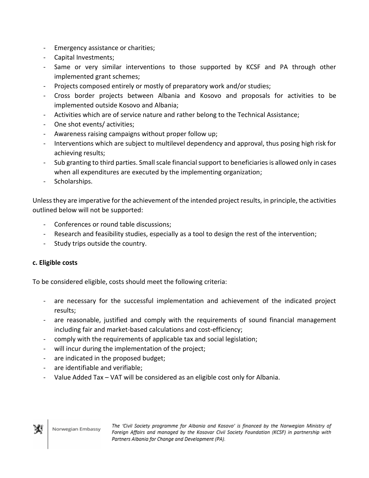- Emergency assistance or charities;
- Capital Investments;
- Same or very similar interventions to those supported by KCSF and PA through other implemented grant schemes;
- Projects composed entirely or mostly of preparatory work and/or studies;
- Cross border projects between Albania and Kosovo and proposals for activities to be implemented outside Kosovo and Albania;
- Activities which are of service nature and rather belong to the Technical Assistance;
- One shot events/ activities;
- Awareness raising campaigns without proper follow up;
- Interventions which are subject to multilevel dependency and approval, thus posing high risk for achieving results;
- Sub granting to third parties. Small scale financial support to beneficiaries is allowed only in cases when all expenditures are executed by the implementing organization;
- Scholarships.

Unless they are imperative for the achievement of the intended project results, in principle, the activities outlined below will not be supported:

- Conferences or round table discussions;
- Research and feasibility studies, especially as a tool to design the rest of the intervention;
- Study trips outside the country.

# **c. Eligible costs**

To be considered eligible, costs should meet the following criteria:

- are necessary for the successful implementation and achievement of the indicated project results;
- are reasonable, justified and comply with the requirements of sound financial management including fair and market-based calculations and cost-efficiency;
- comply with the requirements of applicable tax and social legislation;
- will incur during the implementation of the project;
- are indicated in the proposed budget;
- are identifiable and verifiable;
- Value Added Tax VAT will be considered as an eligible cost only for Albania.

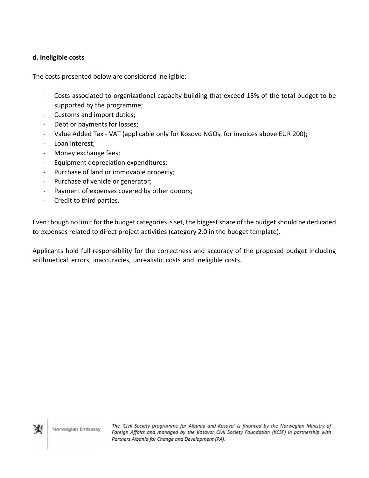## **d. Ineligible costs**

The costs presented below are considered ineligible:

- Costs associated to organizational capacity building that exceed 15% of the total budget to be supported by the programme;
- Customs and import duties;
- Debt or payments for losses;
- Value Added Tax VAT (applicable only for Kosovo NGOs, for invoices above EUR 200);
- Loan interest;
- Money exchange fees;
- Equipment depreciation expenditures;
- Purchase of land or immovable property;
- Purchase of vehicle or generator;
- Payment of expenses covered by other donors;
- Credit to third parties.

Even though no limit for the budget categories is set, the biggest share of the budget should be dedicated to expenses related to direct project activities (category 2.0 in the budget template).

Applicants hold full responsibility for the correctness and accuracy of the proposed budget including arithmetical errors, inaccuracies, unrealistic costs and ineligible costs.

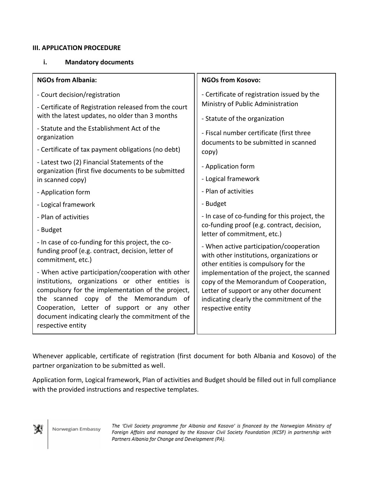#### **III. APPLICATION PROCEDURE**

#### **i. Mandatory documents**

| <b>NGOs from Albania:</b>                                                                                                                                                                                                                                                                                                     | <b>NGOs from Kosovo:</b>                                                                                                                                                                         |
|-------------------------------------------------------------------------------------------------------------------------------------------------------------------------------------------------------------------------------------------------------------------------------------------------------------------------------|--------------------------------------------------------------------------------------------------------------------------------------------------------------------------------------------------|
| - Court decision/registration                                                                                                                                                                                                                                                                                                 | - Certificate of registration issued by the                                                                                                                                                      |
| - Certificate of Registration released from the court<br>with the latest updates, no older than 3 months                                                                                                                                                                                                                      | Ministry of Public Administration<br>- Statute of the organization                                                                                                                               |
| - Statute and the Establishment Act of the<br>organization                                                                                                                                                                                                                                                                    | - Fiscal number certificate (first three<br>documents to be submitted in scanned                                                                                                                 |
| - Certificate of tax payment obligations (no debt)                                                                                                                                                                                                                                                                            | copy)                                                                                                                                                                                            |
| - Latest two (2) Financial Statements of the<br>organization (first five documents to be submitted<br>in scanned copy)                                                                                                                                                                                                        | - Application form                                                                                                                                                                               |
|                                                                                                                                                                                                                                                                                                                               | - Logical framework                                                                                                                                                                              |
| - Application form                                                                                                                                                                                                                                                                                                            | - Plan of activities                                                                                                                                                                             |
| - Logical framework                                                                                                                                                                                                                                                                                                           | - Budget                                                                                                                                                                                         |
| - Plan of activities                                                                                                                                                                                                                                                                                                          | - In case of co-funding for this project, the                                                                                                                                                    |
| - Budget                                                                                                                                                                                                                                                                                                                      | co-funding proof (e.g. contract, decision,<br>letter of commitment, etc.)                                                                                                                        |
| - In case of co-funding for this project, the co-<br>funding proof (e.g. contract, decision, letter of<br>commitment, etc.)                                                                                                                                                                                                   | - When active participation/cooperation<br>with other institutions, organizations or<br>other entities is compulsory for the                                                                     |
| - When active participation/cooperation with other<br>institutions, organizations or other entities is<br>compulsory for the implementation of the project,<br>the scanned copy of the Memorandum of<br>Cooperation, Letter of support or any other<br>document indicating clearly the commitment of the<br>respective entity | implementation of the project, the scanned<br>copy of the Memorandum of Cooperation,<br>Letter of support or any other document<br>indicating clearly the commitment of the<br>respective entity |

Whenever applicable, certificate of registration (first document for both Albania and Kosovo) of the partner organization to be submitted as well.

Application form, Logical framework, Plan of activities and Budget should be filled out in full compliance with the provided instructions and respective templates.

м

Norwegian Embassy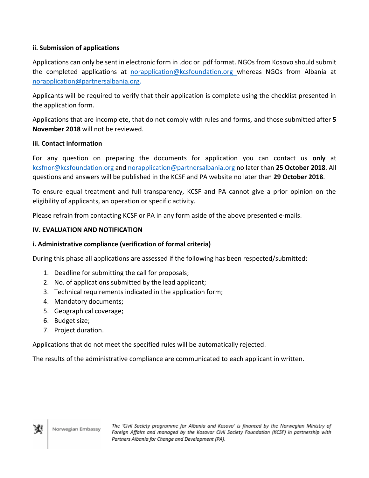# **ii. Submission of applications**

Applications can only be sent in electronic form in .doc or .pdf format. NGOs from Kosovo should submit the completed applications at [norapplication@kcsfoundation.org](mailto:norapplication@kcsfoundation.org) whereas NGOs from Albania at [norapplication@partnersalbania.org.](mailto:norapplication@partnersalbania.org)

Applicants will be required to verify that their application is complete using the checklist presented in the application form.

Applications that are incomplete, that do not comply with rules and forms, and those submitted after **5 November 2018** will not be reviewed.

#### **iii. Contact information**

For any question on preparing the documents for application you can contact us **only** at [kcsfnor@kcsfoundation.org](mailto:kcsfnor@kcsfoundation.org) and norapplication@partnersalbania.org no later than **25 October 2018**. All questions and answers will be published in the KCSF and PA website no later than **29 October 2018**.

To ensure equal treatment and full transparency, KCSF and PA cannot give a prior opinion on the eligibility of applicants, an operation or specific activity.

Please refrain from contacting KCSF or PA in any form aside of the above presented e-mails.

#### **IV. EVALUATION AND NOTIFICATION**

#### **i. Administrative compliance (verification of formal criteria)**

During this phase all applications are assessed if the following has been respected/submitted:

- 1. Deadline for submitting the call for proposals;
- 2. No. of applications submitted by the lead applicant;
- 3. Technical requirements indicated in the application form;
- 4. Mandatory documents;
- 5. Geographical coverage;
- 6. Budget size;
- 7. Project duration.

Applications that do not meet the specified rules will be automatically rejected.

The results of the administrative compliance are communicated to each applicant in written.

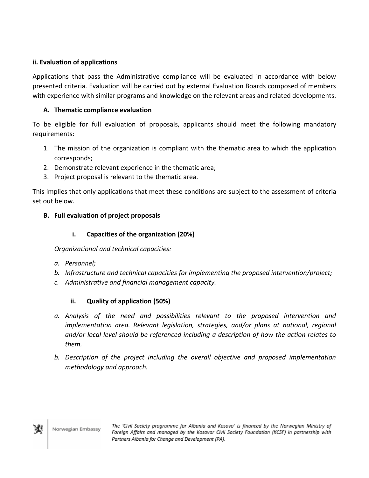# **ii. Evaluation of applications**

Applications that pass the Administrative compliance will be evaluated in accordance with below presented criteria. Evaluation will be carried out by external Evaluation Boards composed of members with experience with similar programs and knowledge on the relevant areas and related developments.

# **A. Thematic compliance evaluation**

To be eligible for full evaluation of proposals, applicants should meet the following mandatory requirements:

- 1. The mission of the organization is compliant with the thematic area to which the application corresponds;
- 2. Demonstrate relevant experience in the thematic area;
- 3. Project proposal is relevant to the thematic area.

This implies that only applications that meet these conditions are subject to the assessment of criteria set out below.

# **B. Full evaluation of project proposals**

# **i. Capacities of the organization (20%)**

*Organizational and technical capacities:*

- *a. Personnel;*
- *b. Infrastructure and technical capacities for implementing the proposed intervention/project;*
- *c. Administrative and financial management capacity.*

# **ii. Quality of application (50%)**

- *a. Analysis of the need and possibilities relevant to the proposed intervention and implementation area. Relevant legislation, strategies, and/or plans at national, regional and/or local level should be referenced including a description of how the action relates to them.*
- *b. Description of the project including the overall objective and proposed implementation methodology and approach.*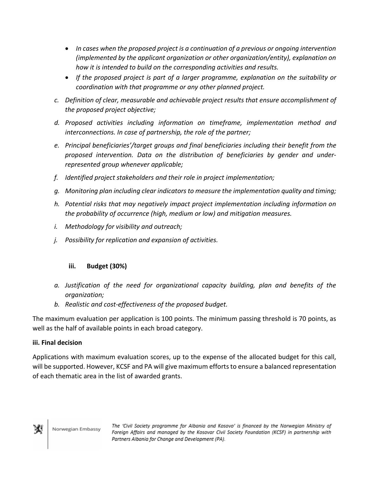- *In cases when the proposed project is a continuation of a previous or ongoing intervention (implemented by the applicant organization or other organization/entity), explanation on how it is intended to build on the corresponding activities and results.*
- *If the proposed project is part of a larger programme, explanation on the suitability or coordination with that programme or any other planned project.*
- *c. Definition of clear, measurable and achievable project results that ensure accomplishment of the proposed project objective;*
- *d. Proposed activities including information on timeframe, implementation method and interconnections. In case of partnership, the role of the partner;*
- *e. Principal beneficiaries'/target groups and final beneficiaries including their benefit from the proposed intervention. Data on the distribution of beneficiaries by gender and underrepresented group whenever applicable;*
- *f. Identified project stakeholders and their role in project implementation;*
- *g. Monitoring plan including clear indicators to measure the implementation quality and timing;*
- *h. Potential risks that may negatively impact project implementation including information on the probability of occurrence (high, medium or low) and mitigation measures.*
- *i. Methodology for visibility and outreach;*
- *j. Possibility for replication and expansion of activities.*

# **iii. Budget (30%)**

- *a. Justification of the need for organizational capacity building, plan and benefits of the organization;*
- *b. Realistic and cost-effectiveness of the proposed budget.*

The maximum evaluation per application is 100 points. The minimum passing threshold is 70 points, as well as the half of available points in each broad category.

# **iii. Final decision**

Applications with maximum evaluation scores, up to the expense of the allocated budget for this call, will be supported. However, KCSF and PA will give maximum efforts to ensure a balanced representation of each thematic area in the list of awarded grants.